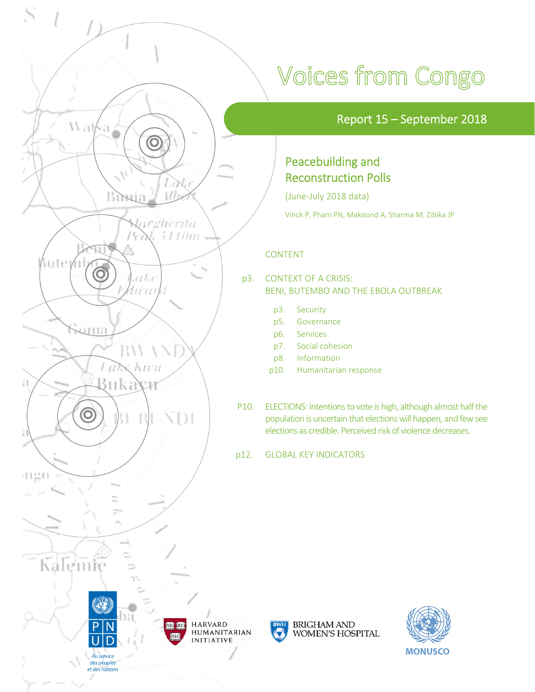

# Voices from Congo

### Report 15 – September 2018

### Peacebuilding and Reconstruction Polls

(June‐July 2018 data)

Vinck P, Pham PN, Makoond A, Sharma M, Zibika JP

### CONTENT

#### p3. CONTEXT OF A CRISIS: BENI, BUTEMBO AND THE EBOLA OUTBREAK

- p3. Security
- p5. Governance
- p6. Services
- p7. Social cohesion
- p8. Information
- p10. Humanitarian response
- P10. ELECTIONS: Intentions to vote is high, although almost half the population is uncertain that elections will happen, and few see elections as credible. Perceived risk of violence decreases.

p12. GLOBAL KEY INDICATORS



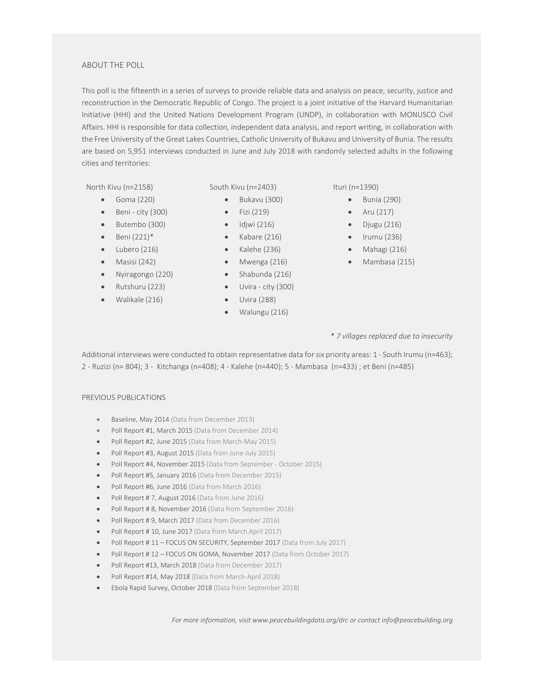#### ABOUT THE POLL

This poll is the fifteenth in a series of surveys to provide reliable data and analysis on peace, security, justice and reconstruction in the Democratic Republic of Congo. The project is a joint initiative of the Harvard Humanitarian Initiative (HHI) and the United Nations Development Program (UNDP), in collaboration with MONUSCO Civil Affairs. HHI is responsible for data collection, independent data analysis, and report writing, in collaboration with the Free University of the Great Lakes Countries, Catholic University of Bukavu and University of Bunia. The results are based on 5,951 interviews conducted in June and July 2018 with randomly selected adults in the following cities and territories:

North Kivu (n=2158) South Kivu (n=2403) Ituri (n=1390)

- $\bullet$  Goma (220)
- Beni city (300)
- Butembo (300)
- $\bullet$  Beni (221)\*
- $\bullet$  Lubero (216)
- $\bullet$  Masisi (242)
- Nyiragongo (220)
- Rutshuru (223)
- Walikale (216)
- - Bukavu (300)
	- $\bullet$  Fizi (219)
	- $\bullet$  Idjwi (216)
	- $\bullet$  Kabare (216)
- $\bullet$  Kalehe (236)
- Mwenga (216)
- $\bullet$  Shabunda (216)
- Uvira city (300)
- $\bullet$  Uvira (288)
- Walungu (216)

- $\bullet$  Bunia (290)
- $\bullet$  Aru (217)
- $\bullet$  Djugu (216)
- $\bullet$  Irumu (236)
- Mahagi (216)
- Mambasa (215)

#### *\* 7 villages replaced due to insecurity*

Additional interviews were conducted to obtain representative data for six priority areas: 1 - South Irumu (n=463); 2 ‐ Ruzizi (n= 804); 3 ‐ Kitchanga (n=408); 4 ‐ Kalehe (n=440); 5 ‐ Mambasa (n=433) ; et Beni (n=485)

#### PREVIOUS PUBLICATIONS

- Baseline, May 2014 (Data from December 2013)
- Poll Report #1, March 2015 (Data from December 2014)
- Poll Report #2, June 2015 (Data from March-May 2015)
- Poll Report #3, August 2015 (Data from June-July 2015)
- Poll Report #4, November 2015 (Data from September October 2015)
- Poll Report #5, January 2016 (Data from December 2015)
- Poll Report #6, June 2016 (Data from March 2016)
- Poll Report # 7, August 2016 (Data from June 2016)
- Poll Report # 8, November 2016 (Data from September 2016)
- Poll Report # 9, March 2017 (Data from December 2016)
- Poll Report # 10, June 2017 (Data from March April 2017)
- Poll Report # 11 FOCUS ON SECURITY, September 2017 (Data from July 2017)
- Poll Report # 12 FOCUS ON GOMA, November 2017 (Data from October 2017)
- Poll Report #13, March 2018 (Data from December 2017)
- Poll Report #14, May 2018 (Data from March‐April 2018)
- Ebola Rapid Survey, October 2018 (Data from September 2018)

*For more information, visit www.peacebuildingdata.org/drc or contact info@peacebuilding.org*

- - -
		-
		-
		-
		-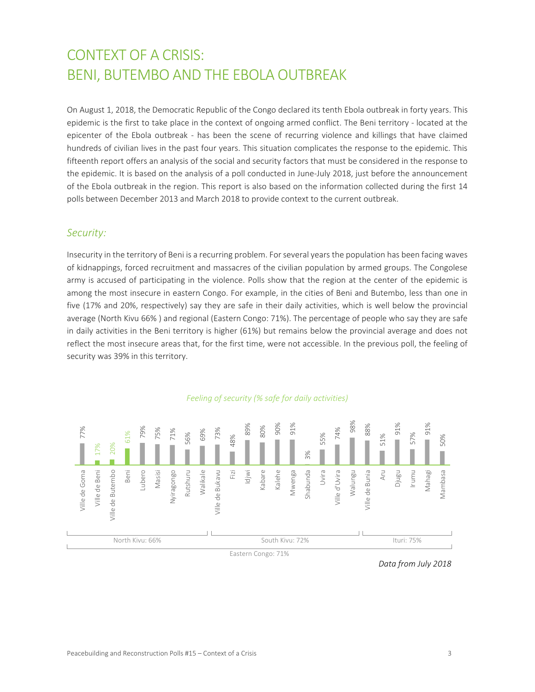## CONTEXT OF A CRISIS: BENI, BUTEMBO AND THE EBOLA OUTBREAK

On August 1, 2018, the Democratic Republic of the Congo declared its tenth Ebola outbreak in forty years. This epidemic is the first to take place in the context of ongoing armed conflict. The Beni territory ‐ located at the epicenter of the Ebola outbreak - has been the scene of recurring violence and killings that have claimed hundreds of civilian lives in the past four years. This situation complicates the response to the epidemic. This fifteenth report offers an analysis of the social and security factors that must be considered in the response to the epidemic. It is based on the analysis of a poll conducted in June‐July 2018, just before the announcement of the Ebola outbreak in the region. This report is also based on the information collected during the first 14 polls between December 2013 and March 2018 to provide context to the current outbreak.

#### *Security:*

Insecurity in the territory of Beni is a recurring problem. For several years the population has been facing waves of kidnappings, forced recruitment and massacres of the civilian population by armed groups. The Congolese army is accused of participating in the violence. Polls show that the region at the center of the epidemic is among the most insecure in eastern Congo. For example, in the cities of Beni and Butembo, less than one in five (17% and 20%, respectively) say they are safe in their daily activities, which is well below the provincial average (North Kivu 66% ) and regional (Eastern Congo: 71%). The percentage of people who say they are safe in daily activities in the Beni territory is higher (61%) but remains below the provincial average and does not reflect the most insecure areas that, for the first time, were not accessible. In the previous poll, the feeling of security was 39% in this territory.

#### *Feeling of security (% safe for daily activities)*



*Data from July 2018*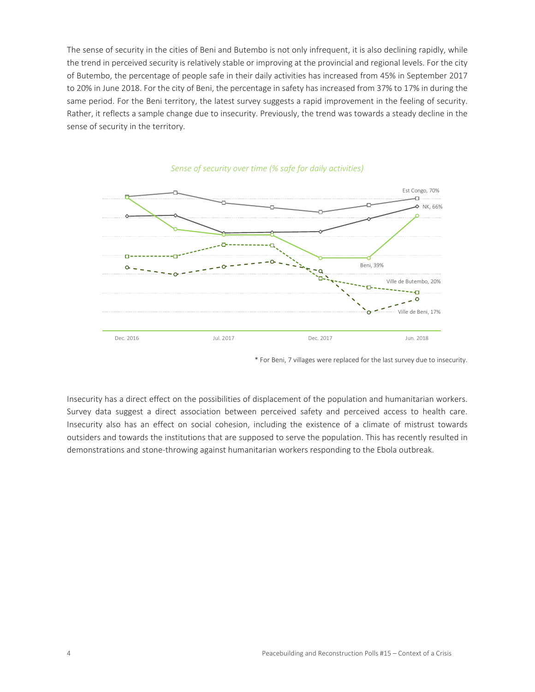The sense of security in the cities of Beni and Butembo is not only infrequent, it is also declining rapidly, while the trend in perceived security is relatively stable or improving at the provincial and regional levels. For the city of Butembo, the percentage of people safe in their daily activities has increased from 45% in September 2017 to 20% in June 2018. For the city of Beni, the percentage in safety has increased from 37% to 17% in during the same period. For the Beni territory, the latest survey suggests a rapid improvement in the feeling of security. Rather, it reflects a sample change due to insecurity. Previously, the trend was towards a steady decline in the sense of security in the territory.



*Sense of security over time (% safe for daily activities)* 

Insecurity has a direct effect on the possibilities of displacement of the population and humanitarian workers. Survey data suggest a direct association between perceived safety and perceived access to health care. Insecurity also has an effect on social cohesion, including the existence of a climate of mistrust towards outsiders and towards the institutions that are supposed to serve the population. This has recently resulted in demonstrations and stone‐throwing against humanitarian workers responding to the Ebola outbreak.

<sup>\*</sup> For Beni, 7 villages were replaced for the last survey due to insecurity.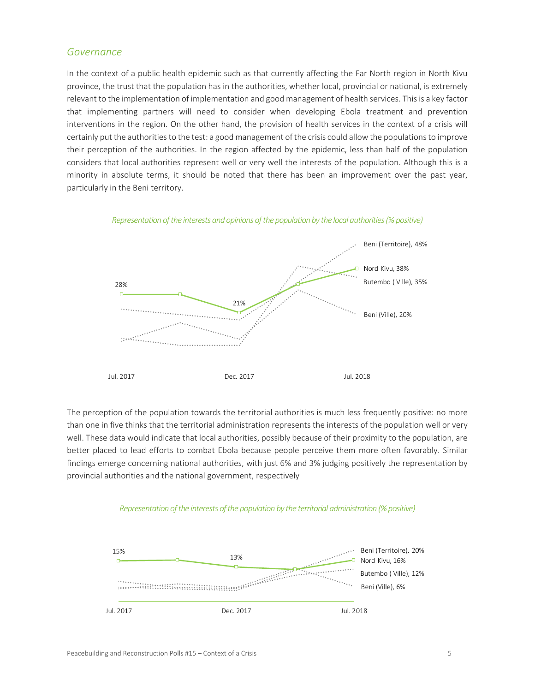#### *Governance*

In the context of a public health epidemic such as that currently affecting the Far North region in North Kivu province, the trust that the population has in the authorities, whether local, provincial or national, is extremely relevant to the implementation of implementation and good management of health services. This is a key factor that implementing partners will need to consider when developing Ebola treatment and prevention interventions in the region. On the other hand, the provision of health services in the context of a crisis will certainly put the authorities to the test: a good management of the crisis could allow the populations to improve their perception of the authorities. In the region affected by the epidemic, less than half of the population considers that local authorities represent well or very well the interests of the population. Although this is a minority in absolute terms, it should be noted that there has been an improvement over the past year, particularly in the Beni territory.



*Representation of the interests and opinions of the population by the local authorities (% positive)* 

The perception of the population towards the territorial authorities is much less frequently positive: no more than one in five thinks that the territorial administration represents the interests of the population well or very well. These data would indicate that local authorities, possibly because of their proximity to the population, are better placed to lead efforts to combat Ebola because people perceive them more often favorably. Similar findings emerge concerning national authorities, with just 6% and 3% judging positively the representation by provincial authorities and the national government, respectively



#### *Representation of the interests of the population by the territorial administration (% positive)*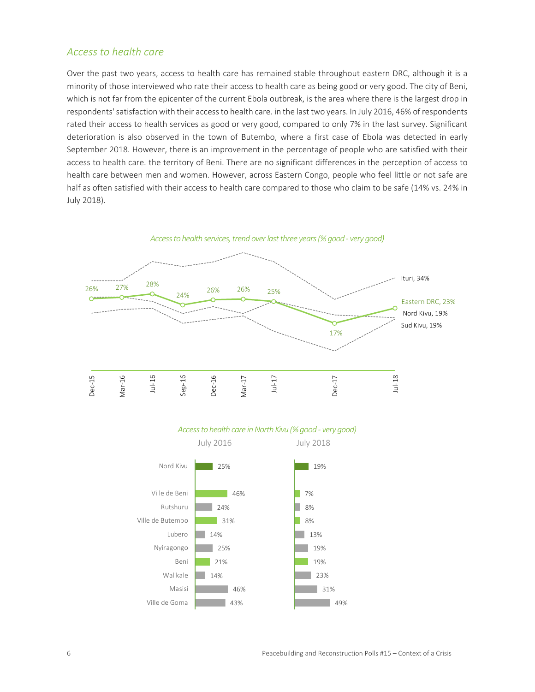#### *Access to health care*

Over the past two years, access to health care has remained stable throughout eastern DRC, although it is a minority of those interviewed who rate their access to health care as being good or very good. The city of Beni, which is not far from the epicenter of the current Ebola outbreak, is the area where there is the largest drop in respondents' satisfaction with their access to health care. in the last two years. In July 2016, 46% of respondents rated their access to health services as good or very good, compared to only 7% in the last survey. Significant deterioration is also observed in the town of Butembo, where a first case of Ebola was detected in early September 2018. However, there is an improvement in the percentage of people who are satisfied with their access to health care. the territory of Beni. There are no significant differences in the perception of access to health care between men and women. However, across Eastern Congo, people who feel little or not safe are half as often satisfied with their access to health care compared to those who claim to be safe (14% vs. 24% in July 2018).





#### *Access to health care in North Kivu (% good ‐ very good)*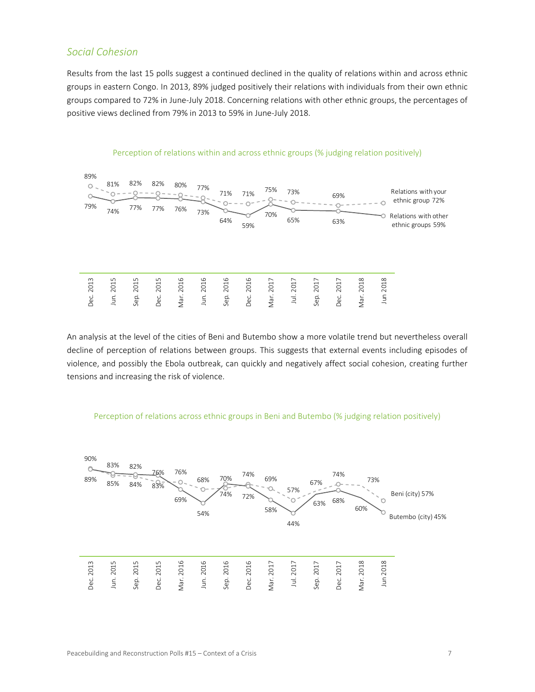#### *Social Cohesion*

Results from the last 15 polls suggest a continued declined in the quality of relations within and across ethnic groups in eastern Congo. In 2013, 89% judged positively their relations with individuals from their own ethnic groups compared to 72% in June‐July 2018. Concerning relations with other ethnic groups, the percentages of positive views declined from 79% in 2013 to 59% in June‐July 2018.



An analysis at the level of the cities of Beni and Butembo show a more volatile trend but nevertheless overall decline of perception of relations between groups. This suggests that external events including episodes of violence, and possibly the Ebola outbreak, can quickly and negatively affect social cohesion, creating further tensions and increasing the risk of violence.



#### Perception of relations across ethnic groups in Beni and Butembo (% judging relation positively)

#### Peacebuilding and Reconstruction Polls #15 – Context of a Crisis  **7 Peacebuilding** and Reconstruction Polls #15 – Context of a Crisis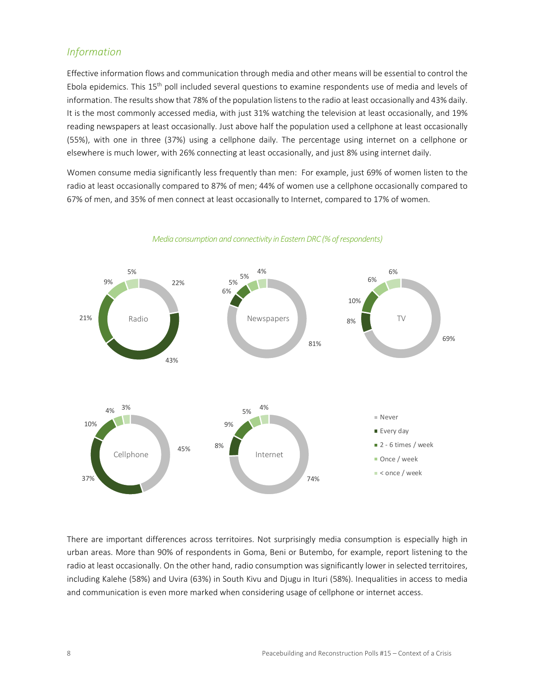#### *Information*

Effective information flows and communication through media and other means will be essential to control the Ebola epidemics. This 15<sup>th</sup> poll included several questions to examine respondents use of media and levels of information. The results show that 78% of the population listens to the radio at least occasionally and 43% daily. It is the most commonly accessed media, with just 31% watching the television at least occasionally, and 19% reading newspapers at least occasionally. Just above half the population used a cellphone at least occasionally (55%), with one in three (37%) using a cellphone daily. The percentage using internet on a cellphone or elsewhere is much lower, with 26% connecting at least occasionally, and just 8% using internet daily.

Women consume media significantly less frequently than men: For example, just 69% of women listen to the radio at least occasionally compared to 87% of men; 44% of women use a cellphone occasionally compared to 67% of men, and 35% of men connect at least occasionally to Internet, compared to 17% of women.



*Media consumption and connectivity in Eastern DRC (% of respondents)* 

There are important differences across territoires. Not surprisingly media consumption is especially high in urban areas. More than 90% of respondents in Goma, Beni or Butembo, for example, report listening to the radio at least occasionally. On the other hand, radio consumption was significantly lower in selected territoires, including Kalehe (58%) and Uvira (63%) in South Kivu and Djugu in Ituri (58%). Inequalities in access to media and communication is even more marked when considering usage of cellphone or internet access.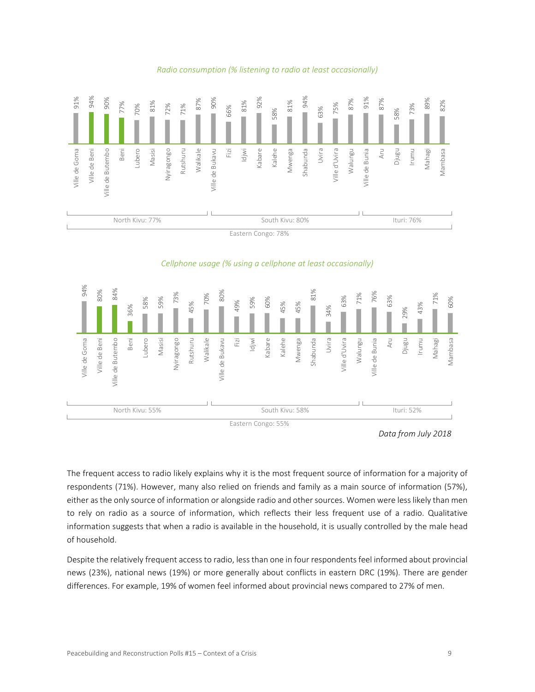

#### *Radio consumption (% listening to radio at least occasionally)*



The frequent access to radio likely explains why it is the most frequent source of information for a majority of respondents (71%). However, many also relied on friends and family as a main source of information (57%), either as the only source of information or alongside radio and other sources. Women were less likely than men to rely on radio as a source of information, which reflects their less frequent use of a radio. Qualitative information suggests that when a radio is available in the household, it is usually controlled by the male head of household.

Despite the relatively frequent access to radio, less than one in four respondents feel informed about provincial news (23%), national news (19%) or more generally about conflicts in eastern DRC (19%). There are gender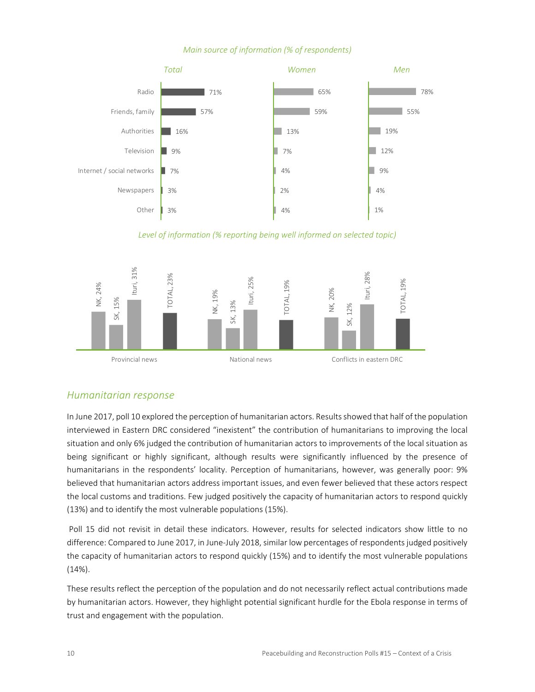#### *Main source of information (% of respondents)*



*Level of information (% reporting being well informed on selected topic)* 



#### *Humanitarian response*

In June 2017, poll 10 explored the perception of humanitarian actors. Results showed that half of the population interviewed in Eastern DRC considered "inexistent" the contribution of humanitarians to improving the local situation and only 6% judged the contribution of humanitarian actors to improvements of the local situation as being significant or highly significant, although results were significantly influenced by the presence of humanitarians in the respondents' locality. Perception of humanitarians, however, was generally poor: 9% believed that humanitarian actors address important issues, and even fewer believed that these actors respect the local customs and traditions. Few judged positively the capacity of humanitarian actors to respond quickly (13%) and to identify the most vulnerable populations (15%).

Poll 15 did not revisit in detail these indicators. However, results for selected indicators show little to no difference: Compared to June 2017, in June‐July 2018, similar low percentages of respondents judged positively the capacity of humanitarian actors to respond quickly (15%) and to identify the most vulnerable populations  $(14\%).$ 

These results reflect the perception of the population and do not necessarily reflect actual contributions made by humanitarian actors. However, they highlight potential significant hurdle for the Ebola response in terms of trust and engagement with the population.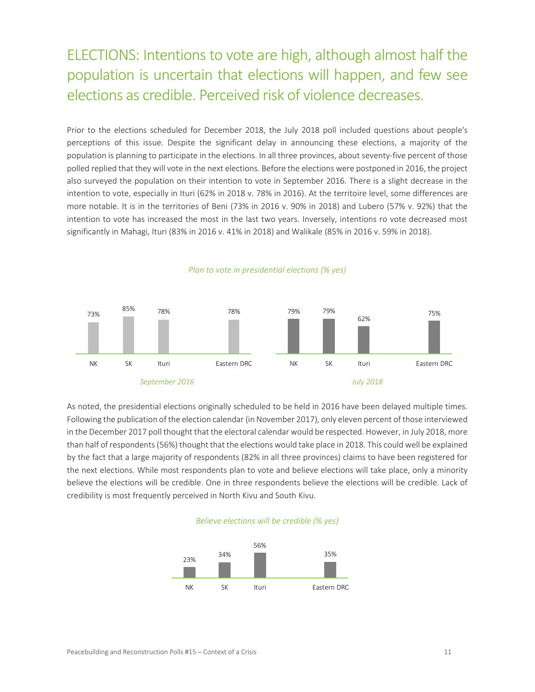### ELECTIONS: Intentions to vote are high, although almost half the population is uncertain that elections will happen, and few see elections as credible. Perceived risk of violence decreases.

Prior to the elections scheduled for December 2018, the July 2018 poll included questions about people's perceptions of this issue. Despite the significant delay in announcing these elections, a majority of the population is planning to participate in the elections. In all three provinces, about seventy-five percent of those polled replied that they will vote in the next elections. Before the elections were postponed in 2016, the project also surveyed the population on their intention to vote in September 2016. There is a slight decrease in the intention to vote, especially in Ituri (62% in 2018 v. 78% in 2016). At the territoire level, some differences are more notable. It is in the territories of Beni (73% in 2016 v. 90% in 2018) and Lubero (57% v. 92%) that the intention to vote has increased the most in the last two years. Inversely, intentions ro vote decreased most significantly in Mahagi, Ituri (83% in 2016 v. 41% in 2018) and Walikale (85% in 2016 v. 59% in 2018).



*Plan to vote in presidential elections (% yes)* 

As noted, the presidential elections originally scheduled to be held in 2016 have been delayed multiple times. Following the publication of the election calendar (in November 2017), only eleven percent of those interviewed in the December 2017 poll thought that the electoral calendar would be respected. However, in July 2018, more than half of respondents (56%) thought that the elections would take place in 2018. This could well be explained by the fact that a large majority of respondents (82% in all three provinces) claims to have been registered for the next elections. While most respondents plan to vote and believe elections will take place, only a minority believe the elections will be credible. One in three respondents believe the elections will be credible. Lack of credibility is most frequently perceived in North Kivu and South Kivu.



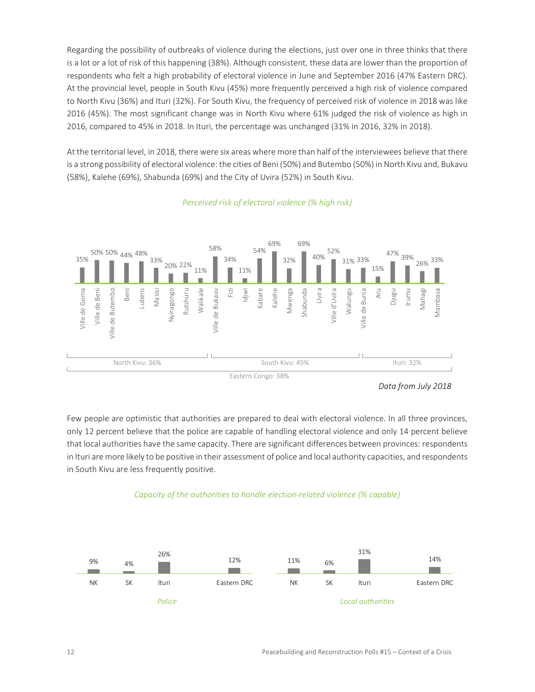Regarding the possibility of outbreaks of violence during the elections, just over one in three thinks that there is a lot or a lot of risk of this happening (38%). Although consistent, these data are lower than the proportion of respondents who felt a high probability of electoral violence in June and September 2016 (47% Eastern DRC). At the provincial level, people in South Kivu (45%) more frequently perceived a high risk of violence compared to North Kivu (36%) and Ituri (32%). For South Kivu, the frequency of perceived risk of violence in 2018 was like 2016 (45%). The most significant change was in North Kivu where 61% judged the risk of violence as high in 2016, compared to 45% in 2018. In Ituri, the percentage was unchanged (31% in 2016, 32% in 2018).

At the territorial level, in 2018, there were six areas where more than half of the interviewees believe that there is a strong possibility of electoral violence: the cities of Beni (50%) and Butembo (50%) in North Kivu and, Bukavu (58%), Kalehe (69%), Shabunda (69%) and the City of Uvira (52%) in South Kivu.



#### *Perceived risk of electoral violence (% high risk)*

Eastern Congo: 38%

Few people are optimistic that authorities are prepared to deal with electoral violence. In all three provinces, only 12 percent believe that the police are capable of handling electoral violence and only 14 percent believe that local authorities have the same capacity. There are significant differences between provinces: respondents in Ituri are more likely to be positive in their assessment of police and local authority capacities, and respondents in South Kivu are less frequently positive.





*Data from July 2018*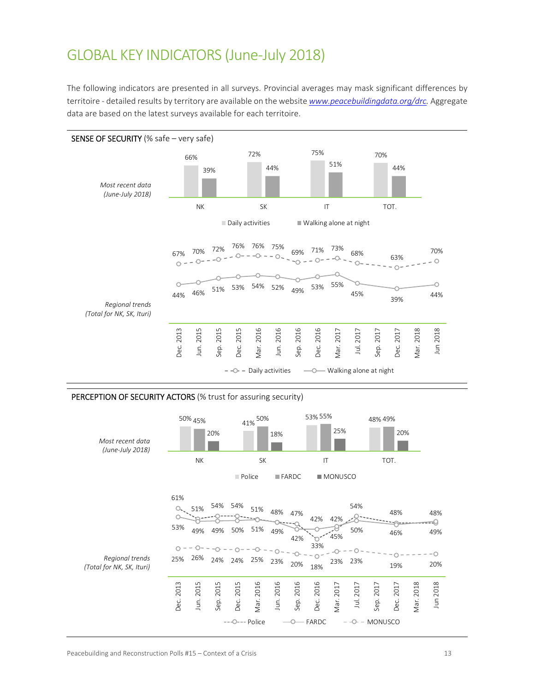### GLOBAL KEY INDICATORS (June‐July 2018)

The following indicators are presented in all surveys. Provincial averages may mask significant differences by territoire ‐ detailed results by territory are available on the website *www.peacebuildingdata.org/drc.* Aggregate data are based on the latest surveys available for each territoire.



#### PERCEPTION OF SECURITY ACTORS (% trust for assuring security)

| Most recent data<br>(June-July 2018)         | 50% 45%<br>20%<br>ΝK |                           |                                             | 41% 50%<br>SK     | 18%               |                   | 53% 55%<br>25%<br>$\mathsf{I}\mathsf{T}$ |                   |                                                      | 48% 49%<br>20%<br>TOT.         |                   |              |                        |
|----------------------------------------------|----------------------|---------------------------|---------------------------------------------|-------------------|-------------------|-------------------|------------------------------------------|-------------------|------------------------------------------------------|--------------------------------|-------------------|--------------|------------------------|
|                                              |                      |                           |                                             | Police            |                   | $IFARDC$          |                                          | <b>MONUSCO</b>    |                                                      |                                |                   |              |                        |
| Regional trends<br>(Total for NK, SK, Ituri) | 61%<br>53%<br>25%    | 51%<br>49%<br>49%<br>26%  | 54% 54%<br>50%<br>$-0 - -0 - -0$<br>24% 24% | 51%<br>51%<br>25% | 48%<br>49%<br>23% | 47%<br>42%<br>20% | 42%<br>33%<br>18%                        | 42%<br>45%<br>23% | 54%<br>50%<br>23%                                    |                                | 48%<br>46%<br>19% |              | 48%<br>⊲<br>49%<br>20% |
|                                              | 2013<br>Dec.         | Jun. 2015<br>2015<br>Sep. | Dec. 2015<br>---O--- Police                 | Mar. 2016         | Jun. 2016         | 2016<br>Sep.      | 2016<br>Dec.<br>FARDC                    | Vlar. 2017        | Jul. 2017<br>--0-<br>$\hspace{0.1mm}-\hspace{0.1mm}$ | 2017<br>Sep.<br><b>MONUSCO</b> | 2017<br>Dec.      | 2018<br>Mar. | Jun 2018               |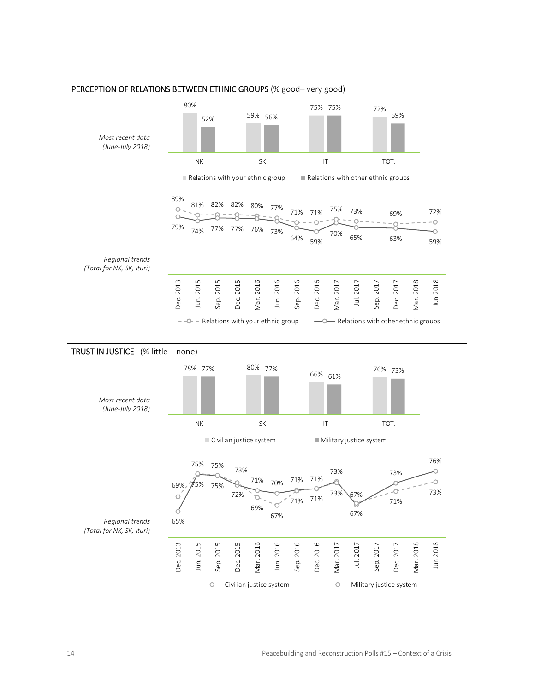